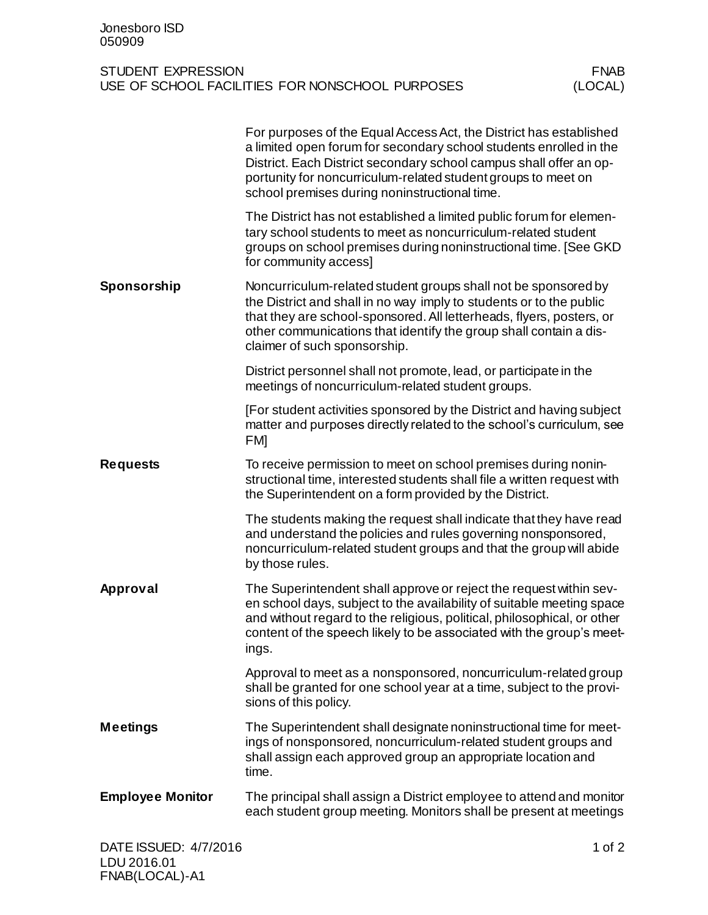| Jonesboro ISD<br>050909                                                                         |                                                                                                                                                                                                                                                                                                                                  |  |
|-------------------------------------------------------------------------------------------------|----------------------------------------------------------------------------------------------------------------------------------------------------------------------------------------------------------------------------------------------------------------------------------------------------------------------------------|--|
| STUDENT EXPRESSION<br><b>FNAB</b><br>(LOCAL)<br>USE OF SCHOOL FACILITIES FOR NONSCHOOL PURPOSES |                                                                                                                                                                                                                                                                                                                                  |  |
|                                                                                                 | For purposes of the Equal Access Act, the District has established<br>a limited open forum for secondary school students enrolled in the<br>District. Each District secondary school campus shall offer an op-<br>portunity for noncurriculum-related student groups to meet on<br>school premises during noninstructional time. |  |
|                                                                                                 | The District has not established a limited public forum for elemen-<br>tary school students to meet as noncurriculum-related student<br>groups on school premises during noninstructional time. [See GKD<br>for community access]                                                                                                |  |
| Sponsorship                                                                                     | Noncurriculum-related student groups shall not be sponsored by<br>the District and shall in no way imply to students or to the public<br>that they are school-sponsored. All letterheads, flyers, posters, or<br>other communications that identify the group shall contain a dis-<br>claimer of such sponsorship.               |  |
|                                                                                                 | District personnel shall not promote, lead, or participate in the<br>meetings of noncurriculum-related student groups.                                                                                                                                                                                                           |  |
|                                                                                                 | [For student activities sponsored by the District and having subject<br>matter and purposes directly related to the school's curriculum, see<br><b>FM</b>                                                                                                                                                                        |  |
| <b>Requests</b>                                                                                 | To receive permission to meet on school premises during nonin-<br>structional time, interested students shall file a written request with<br>the Superintendent on a form provided by the District.                                                                                                                              |  |
|                                                                                                 | The students making the request shall indicate that they have read<br>and understand the policies and rules governing nonsponsored,<br>noncurriculum-related student groups and that the group will abide<br>by those rules.                                                                                                     |  |
| Approval                                                                                        | The Superintendent shall approve or reject the request within sev-<br>en school days, subject to the availability of suitable meeting space<br>and without regard to the religious, political, philosophical, or other<br>content of the speech likely to be associated with the group's meet-<br>ings.                          |  |
|                                                                                                 | Approval to meet as a nonsponsored, noncurriculum-related group<br>shall be granted for one school year at a time, subject to the provi-<br>sions of this policy.                                                                                                                                                                |  |
| <b>Meetings</b>                                                                                 | The Superintendent shall designate noninstructional time for meet-<br>ings of nonsponsored, noncurriculum-related student groups and<br>shall assign each approved group an appropriate location and<br>time.                                                                                                                    |  |
| <b>Employee Monitor</b>                                                                         | The principal shall assign a District employee to attend and monitor<br>each student group meeting. Monitors shall be present at meetings                                                                                                                                                                                        |  |